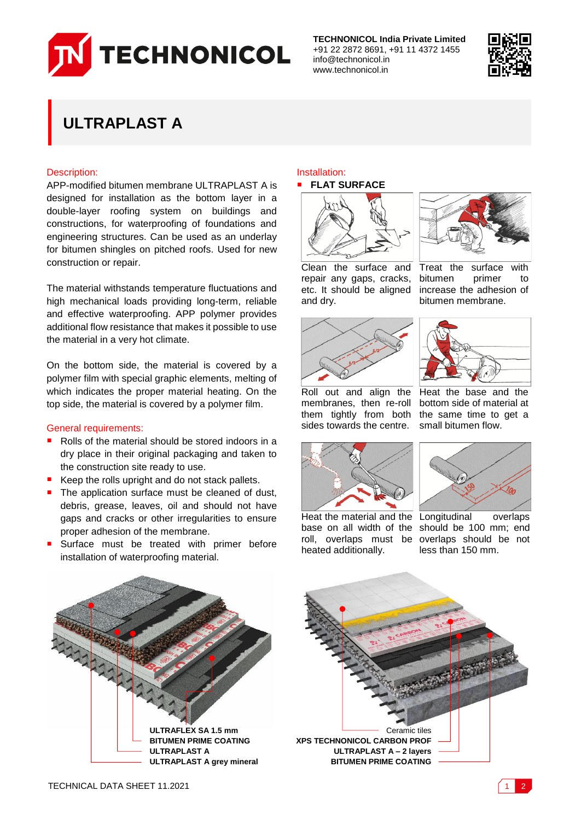

**TECHNONICOL India Private Limited** +91 22 2872 8691, +91 11 4372 1455 info@technonicol.in www.technonicol.in



# **ULTRAPLAST A**

## Description:

APP-modified bitumen membrane ULTRAPLAST A is designed for installation as the bottom layer in a double-layer roofing system on buildings and constructions, for waterproofing of foundations and engineering structures. Can be used as an underlay for bitumen shingles on pitched roofs. Used for new construction or repair.

The material withstands temperature fluctuations and high mechanical loads providing long-term, reliable and effective waterproofing. APP polymer provides additional flow resistance that makes it possible to use the material in a very hot climate.

On the bottom side, the material is covered by a polymer film with special graphic elements, melting of which indicates the proper material heating. On the top side, the material is covered by a polymer film.

### General requirements:

- Rolls of the material should be stored indoors in a dry place in their original packaging and taken to the construction site ready to use.
- Keep the rolls upright and do not stack pallets.
- The application surface must be cleaned of dust, debris, grease, leaves, oil and should not have gaps and cracks or other irregularities to ensure proper adhesion of the membrane.
- Surface must be treated with primer before installation of waterproofing material.

# Installation:





Treat the surface with<br>bitumen primer to bitumen primer to increase the adhesion of bitumen membrane.

Clean the surface and repair any gaps, cracks, etc. It should be aligned and dry.



Heat the base and the bottom side of material at

Roll out and align the membranes, then re-roll them tightly from both sides towards the centre.



Heat the material and the Longitudinal overlaps base on all width of the should be 100 mm; end roll, overlaps must be overlaps should be not heated additionally.

less than 150 mm.